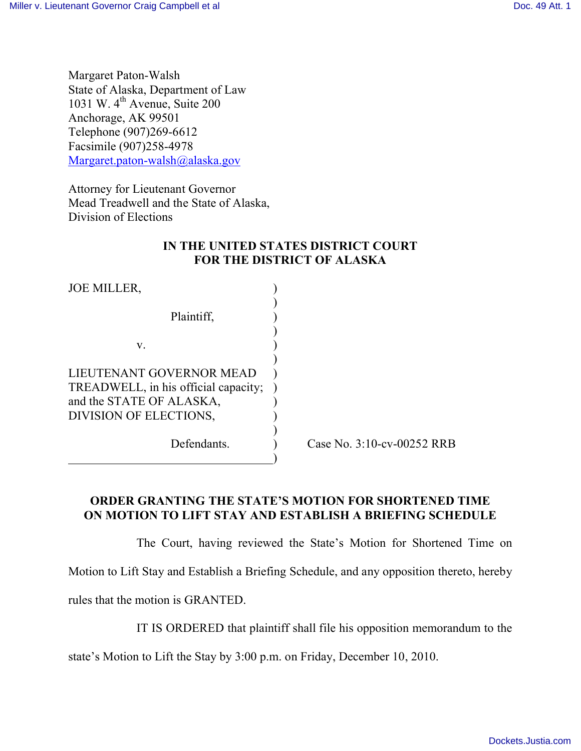Margaret Paton-Walsh State of Alaska, Department of Law 1031 W.  $4<sup>th</sup>$  Avenue, Suite 200 Anchorage, AK 99501 Telephone (907)269-6612 Facsimile (907)258-4978 Margaret.paton-walsh@alaska.gov

Attorney for Lieutenant Governor Mead Treadwell and the State of Alaska, Division of Elections

## **IN THE UNITED STATES DISTRICT COURT FOR THE DISTRICT OF ALASKA**

| <b>JOE MILLER,</b>                   |  |
|--------------------------------------|--|
|                                      |  |
| Plaintiff.                           |  |
|                                      |  |
| V.                                   |  |
|                                      |  |
| LIEUTENANT GOVERNOR MEAD             |  |
| TREADWELL, in his official capacity; |  |
| and the STATE OF ALASKA,             |  |
| DIVISION OF ELECTIONS,               |  |
|                                      |  |
| Defendants.                          |  |
|                                      |  |

Case No. 3:10-cv-00252 RRB

## **ORDER GRANTING THE STATE'S MOTION FOR SHORTENED TIME ON MOTION TO LIFT STAY AND ESTABLISH A BRIEFING SCHEDULE**

The Court, having reviewed the State's Motion for Shortened Time on Motion to Lift Stay and Establish a Briefing Schedule, and any opposition thereto, hereby rules that the motion is GRANTED.

IT IS ORDERED that plaintiff shall file his opposition memorandum to the

state's Motion to Lift the Stay by 3:00 p.m. on Friday, December 10, 2010.